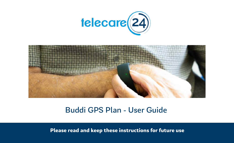



### Buddi GPS Plan - User Guide

**Please read and keep these instructions for future use**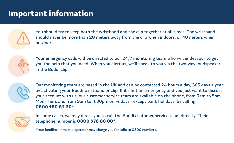## **Important information**



You should try to keep both the wristband and the clip together at all times. The wristband should never be more than 20 meters away from the clip when indoors, or 40 meters when outdoors.



Your emergency calls will be directed to our 24/7 monitoring team who will endeavour to get you the help that you need. When you alert us, we'll speak to you via the two-way loudspeaker in the Buddi clip.



Our monitoring team are based in the UK and can be contacted 24 hours a day, 365 days a year by activating your Buddi wristband or clip. If it's not an emergency and you just want to discuss your account with us, our customer service team are available on the phone, from 9am to 5pm Mon-Thurs and from 9am to 4.30pm on Fridays - except bank holidays, by calling **0800 180 82 20\***.



In some cases, we may direct you to call the Buddi customer service team directly. Their telephone number is **0800 978 88 00\***.

\*Your landline or mobile operator may charge you for calls to 0800 numbers.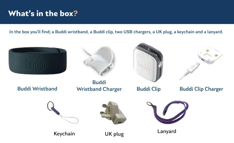## **What's in the box?**

In the box you'll find; a Buddi wristband, a Buddi clip, two USB chargers, a UK plug, a keychain and a lanyard.

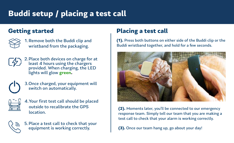# **Buddi setup / placing a test call**

### **Getting started**

1. Remove both the Buddi clip and wristband from the packaging.



2. Place both devices on charge for at least 4 hours using the chargers provided. When charging, the LED lights will glow **green.**



3. Once charged, your equipment will switch on automatically.



4.Your first test call should be placed outside to recalibrate the GPS location.



5. Place a test call to check that your equipment is working correctly.

### **Placing a test call**

**(1).** Press both buttons on either side of the Buddi clip or the Buddi wristband together, and hold for a few seconds.



**(2).** Moments later, you'll be connected to our emergency response team. Simply tell our team that you are making a test call to check that your alarm is working correctly.

**(3).** Once our team hang up, go about your day!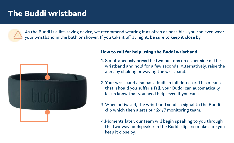### **The Buddi wristband**

As the Buddi is a life-saving device, we recommend wearing it as often as possible - you can even wear your wristband in the bath or shower. If you take it off at night, be sure to keep it close by.



#### **How to call for help using the Buddi wristband**

- 1. Simultaneously press the two buttons on either side of the wristband and hold for a few seconds. Alternatively, raise the alert by shaking or waving the wristband.
- 2. Your wristband also has a built-in fall detector. This means that, should you suffer a fall, your Buddi can automatically let us know that you need help, even if you can't.
- 3. When activated, the wristband sends a signal to the Buddi clip which then alerts our 24/7 monitoring team.
- 4. Moments later, our team will begin speaking to you through the two-way loudspeaker in the Buddi clip - so make sure you keep it close by.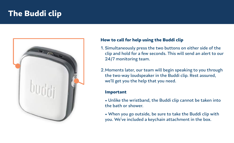### **The Buddi clip**



#### **How to call for help using the Buddi clip**

- 1. Simultaneously press the two buttons on either side of the clip and hold for a few seconds. This will send an alert to our 24/7 monitoring team.
- 2. Moments later, our team will begin speaking to you through the two-way loudspeaker in the Buddi clip. Rest assured, we'll get you the help that you need.

#### **Important**

- Unlike the wristband, the Buddi clip cannot be taken into the bath or shower.
- When you go outside, be sure to take the Buddi clip with you. We've included a keychain attachment in the box.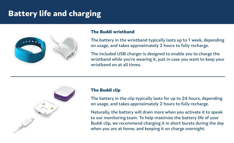## **Battery life and charging**



#### **The Buddi wristband**

The battery in the wristband typically lasts up to 1 week, depending on usage, and takes approximately 2 hours to fully recharge.

The included USB charger is designed to enable you to charge the wristband while you're wearing it, just in case you want to keep your wristband on at all times.



#### **The Buddi clip**

The battery in the clip typically lasts for up to 24 hours, depending on usage, and takes approximately 2 hours to fully recharge.

Naturally, the battery will drain more when you activate it to speak to our monitoring team. To help maximise the battery life of your Buddi clip, we recommend charging it in short bursts during the day when you are at home, and keeping it on charge overnight.